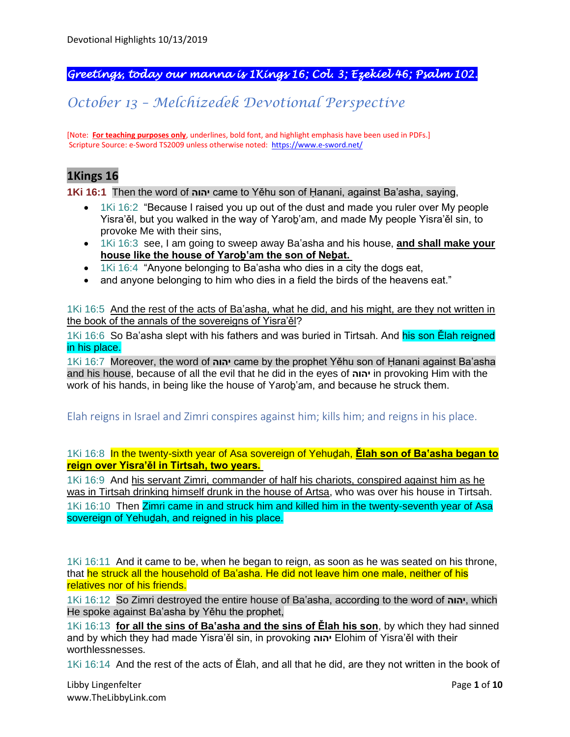# *Greetings, today our manna is 1Kings 16; Col. 3; Ezekiel 46; Psalm 102.*

# *October 13 – Melchizedek Devotional Perspective*

[Note: **For teaching purposes only**, underlines, bold font, and highlight emphasis have been used in PDFs.] Scripture Source: e-Sword TS2009 unless otherwise noted: <https://www.e-sword.net/>

# **1Kings 16**

**1Ki 16:1** Then the word of **יהוה** came to Yěhu son of Ḥanani, against Ba'asha, saying,

- 1Ki 16:2 "Because I raised you up out of the dust and made you ruler over My people Yisra'ěl, but you walked in the way of Yaroḇ'am, and made My people Yisra'ěl sin, to provoke Me with their sins,
- 1Ki 16:3 see, I am going to sweep away Ba'asha and his house, **and shall make your house like the house of Yaroḇ'am the son of Neḇat.**
- 1Ki 16:4 "Anyone belonging to Ba'asha who dies in a city the dogs eat,
- and anyone belonging to him who dies in a field the birds of the heavens eat."

1Ki 16:5 And the rest of the acts of Ba'asha, what he did, and his might, are they not written in the book of the annals of the sovereigns of Yisra'ěl?

1Ki 16:6 So Ba'asha slept with his fathers and was buried in Tirtsah. And his son Elah reigned in his place.

1Ki 16:7 Moreover, the word of **יהוה** came by the prophet Yěhu son of Ḥanani against Ba'asha and his house, because of all the evil that he did in the eyes of **יהוה** in provoking Him with the work of his hands, in being like the house of Yaroḇ'am, and because he struck them.

Elah reigns in Israel and Zimri conspires against him; kills him; and reigns in his place.

1Ki 16:8 In the twenty-sixth year of Asa sovereign of Yehuḏah, **Ělah son of Ba'asha began to reign over Yisra'ěl in Tirtsah, two years.**

1Ki 16:9 And his servant Zimri, commander of half his chariots, conspired against him as he was in Tirtsah drinking himself drunk in the house of Artsa, who was over his house in Tirtsah.

1Ki 16:10 Then Zimri came in and struck him and killed him in the twenty-seventh year of Asa sovereign of Yehudah, and reigned in his place.

1Ki 16:11 And it came to be, when he began to reign, as soon as he was seated on his throne, that he struck all the household of Ba'asha. He did not leave him one male, neither of his relatives nor of his friends.

1Ki 16:12 So Zimri destroyed the entire house of Ba'asha, according to the word of **יהוה**, which He spoke against Ba'asha by Yěhu the prophet,

1Ki 16:13 **for all the sins of Ba'asha and the sins of Ělah his son**, by which they had sinned and by which they had made Yisra'ěl sin, in provoking **יהוה** Elohim of Yisra'ěl with their worthlessnesses.

1Ki 16:14 And the rest of the acts of Ělah, and all that he did, are they not written in the book of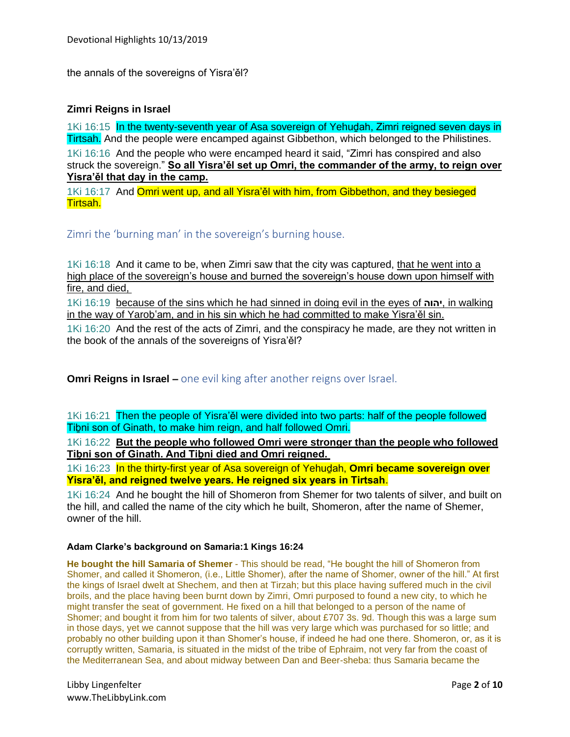the annals of the sovereigns of Yisra'ěl?

### **Zimri Reigns in Israel**

1Ki 16:15 In the twenty-seventh year of Asa sovereign of Yehuḏah, Zimri reigned seven days in Tirtsah. And the people were encamped against Gibbethon, which belonged to the Philistines. 1Ki 16:16 And the people who were encamped heard it said, "Zimri has conspired and also struck the sovereign." **So all Yisra'ěl set up Omri, the commander of the army, to reign over Yisra'ěl that day in the camp.**

1Ki 16:17 And Omri went up, and all Yisra'ěl with him, from Gibbethon, and they besieged Tirtsah.

Zimri the 'burning man' in the sovereign's burning house.

1Ki 16:18 And it came to be, when Zimri saw that the city was captured, that he went into a high place of the sovereign's house and burned the sovereign's house down upon himself with fire, and died,

1Ki 16:19 because of the sins which he had sinned in doing evil in the eyes of **יהוה**, in walking in the way of Yaroḇ'am, and in his sin which he had committed to make Yisra'ěl sin.

1Ki 16:20 And the rest of the acts of Zimri, and the conspiracy he made, are they not written in the book of the annals of the sovereigns of Yisra'ěl?

**Omri Reigns in Israel –** one evil king after another reigns over Israel.

1Ki 16:21 Then the people of Yisra'ěl were divided into two parts: half of the people followed Tiḇni son of Ginath, to make him reign, and half followed Omri.

1Ki 16:22 **But the people who followed Omri were stronger than the people who followed Tiḇni son of Ginath. And Tiḇni died and Omri reigned.**

1Ki 16:23 In the thirty-first year of Asa sovereign of Yehuḏah, **Omri became sovereign over Yisra'ěl, and reigned twelve years. He reigned six years in Tirtsah**.

1Ki 16:24 And he bought the hill of Shomeron from Shemer for two talents of silver, and built on the hill, and called the name of the city which he built, Shomeron, after the name of Shemer, owner of the hill.

#### **Adam Clarke's background on Samaria:1 Kings 16:24**

**He bought the hill Samaria of Shemer** - This should be read, "He bought the hill of Shomeron from Shomer, and called it Shomeron, (i.e., Little Shomer), after the name of Shomer, owner of the hill." At first the kings of Israel dwelt at Shechem, and then at Tirzah; but this place having suffered much in the civil broils, and the place having been burnt down by Zimri, Omri purposed to found a new city, to which he might transfer the seat of government. He fixed on a hill that belonged to a person of the name of Shomer; and bought it from him for two talents of silver, about £707 3s. 9d. Though this was a large sum in those days, yet we cannot suppose that the hill was very large which was purchased for so little; and probably no other building upon it than Shomer's house, if indeed he had one there. Shomeron, or, as it is corruptly written, Samaria, is situated in the midst of the tribe of Ephraim, not very far from the coast of the Mediterranean Sea, and about midway between Dan and Beer-sheba: thus Samaria became the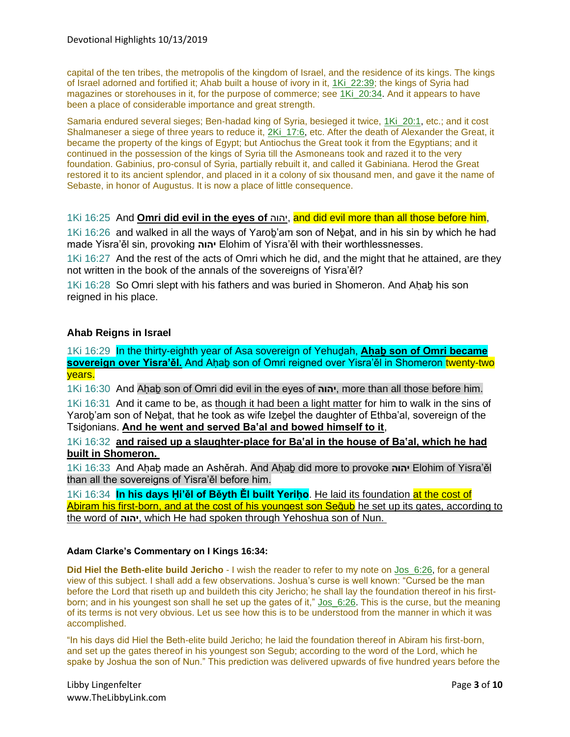capital of the ten tribes, the metropolis of the kingdom of Israel, and the residence of its kings. The kings of Israel adorned and fortified it; Ahab built a house of ivory in it, 1Ki\_22:39; the kings of Syria had magazines or storehouses in it, for the purpose of commerce; see 1Ki\_20:34. And it appears to have been a place of considerable importance and great strength.

Samaria endured several sieges; Ben-hadad king of Syria, besieged it twice, 1Ki\_20:1, etc.; and it cost Shalmaneser a siege of three years to reduce it, 2Ki\_17:6, etc. After the death of Alexander the Great, it became the property of the kings of Egypt; but Antiochus the Great took it from the Egyptians; and it continued in the possession of the kings of Syria till the Asmoneans took and razed it to the very foundation. Gabinius, pro-consul of Syria, partially rebuilt it, and called it Gabiniana. Herod the Great restored it to its ancient splendor, and placed in it a colony of six thousand men, and gave it the name of Sebaste, in honor of Augustus. It is now a place of little consequence.

#### 1Ki 16:25 And **Omri did evil in the eyes of** יהוה, and did evil more than all those before him,

1Ki 16:26 and walked in all the ways of Yarob'am son of Nebat, and in his sin by which he had made Yisra'ěl sin, provoking **יהוה** Elohim of Yisra'ěl with their worthlessnesses.

1Ki 16:27 And the rest of the acts of Omri which he did, and the might that he attained, are they not written in the book of the annals of the sovereigns of Yisra'ěl?

1Ki 16:28 So Omri slept with his fathers and was buried in Shomeron. And Aḥaḇ his son reigned in his place.

#### **Ahab Reigns in Israel**

1Ki 16:29 In the thirty-eighth year of Asa sovereign of Yehuḏah, **Aḥaḇ son of Omri became**  sovereign over Yisra'ěl. And Aḥab son of Omri reigned over Yisra'ěl in Shomeron twenty-two years.

1Ki 16:30 And Aḥaḇ son of Omri did evil in the eyes of **יהוה**, more than all those before him.

1Ki 16:31 And it came to be, as though it had been a light matter for him to walk in the sins of Yarob'am son of Nebat, that he took as wife Izebel the daughter of Ethba'al, sovereign of the Tsiḏonians. **And he went and served Ba'al and bowed himself to it**,

#### 1Ki 16:32 **and raised up a slaughter-place for Ba'al in the house of Ba'al, which he had built in Shomeron.**

1Ki 16:33 And Aḥaḇ made an Ashěrah. And Aḥaḇ did more to provoke **יהוה** Elohim of Yisra'ěl than all the sovereigns of Yisra'ěl before him.

1Ki 16:34 **In his days Ḥi'ěl of Běyth Ěl built Yeriḥo**. He laid its foundation at the cost of Abiram his first-born, and at the cost of his youngest son Sequb he set up its gates, according to the word of **יהוה**, which He had spoken through Yehoshua son of Nun.

#### **Adam Clarke's Commentary on I Kings 16:34:**

**Did Hiel the Beth-elite build Jericho** - I wish the reader to refer to my note on Jos\_6:26, for a general view of this subject. I shall add a few observations. Joshua's curse is well known: "Cursed be the man before the Lord that riseth up and buildeth this city Jericho; he shall lay the foundation thereof in his firstborn; and in his youngest son shall he set up the gates of it," Jos\_6:26. This is the curse, but the meaning of its terms is not very obvious. Let us see how this is to be understood from the manner in which it was accomplished.

"In his days did Hiel the Beth-elite build Jericho; he laid the foundation thereof in Abiram his first-born, and set up the gates thereof in his youngest son Segub; according to the word of the Lord, which he spake by Joshua the son of Nun." This prediction was delivered upwards of five hundred years before the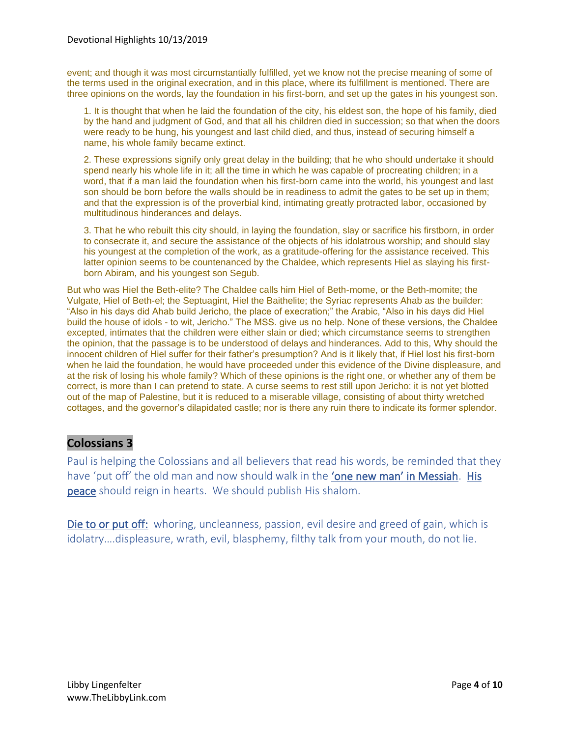event; and though it was most circumstantially fulfilled, yet we know not the precise meaning of some of the terms used in the original execration, and in this place, where its fulfillment is mentioned. There are three opinions on the words, lay the foundation in his first-born, and set up the gates in his youngest son.

1. It is thought that when he laid the foundation of the city, his eldest son, the hope of his family, died by the hand and judgment of God, and that all his children died in succession; so that when the doors were ready to be hung, his youngest and last child died, and thus, instead of securing himself a name, his whole family became extinct.

2. These expressions signify only great delay in the building; that he who should undertake it should spend nearly his whole life in it; all the time in which he was capable of procreating children; in a word, that if a man laid the foundation when his first-born came into the world, his youngest and last son should be born before the walls should be in readiness to admit the gates to be set up in them; and that the expression is of the proverbial kind, intimating greatly protracted labor, occasioned by multitudinous hinderances and delays.

3. That he who rebuilt this city should, in laying the foundation, slay or sacrifice his firstborn, in order to consecrate it, and secure the assistance of the objects of his idolatrous worship; and should slay his youngest at the completion of the work, as a gratitude-offering for the assistance received. This latter opinion seems to be countenanced by the Chaldee, which represents Hiel as slaying his firstborn Abiram, and his youngest son Segub.

But who was Hiel the Beth-elite? The Chaldee calls him Hiel of Beth-mome, or the Beth-momite; the Vulgate, Hiel of Beth-el; the Septuagint, Hiel the Baithelite; the Syriac represents Ahab as the builder: "Also in his days did Ahab build Jericho, the place of execration;" the Arabic, "Also in his days did Hiel build the house of idols - to wit, Jericho." The MSS. give us no help. None of these versions, the Chaldee excepted, intimates that the children were either slain or died; which circumstance seems to strengthen the opinion, that the passage is to be understood of delays and hinderances. Add to this, Why should the innocent children of Hiel suffer for their father's presumption? And is it likely that, if Hiel lost his first-born when he laid the foundation, he would have proceeded under this evidence of the Divine displeasure, and at the risk of losing his whole family? Which of these opinions is the right one, or whether any of them be correct, is more than I can pretend to state. A curse seems to rest still upon Jericho: it is not yet blotted out of the map of Palestine, but it is reduced to a miserable village, consisting of about thirty wretched cottages, and the governor's dilapidated castle; nor is there any ruin there to indicate its former splendor.

# **Colossians 3**

Paul is helping the Colossians and all believers that read his words, be reminded that they have 'put off' the old man and now should walk in the 'one new man' in Messiah. His peace should reign in hearts. We should publish His shalom.

Die to or put off: whoring, uncleanness, passion, evil desire and greed of gain, which is idolatry….displeasure, wrath, evil, blasphemy, filthy talk from your mouth, do not lie.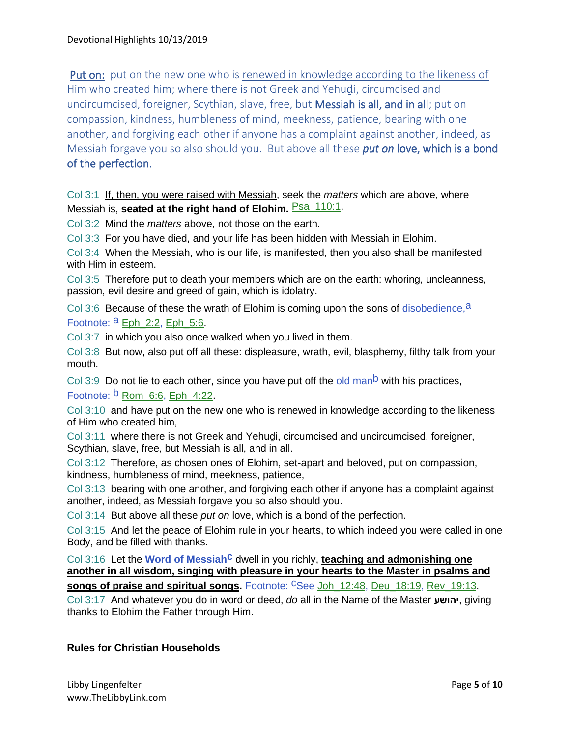Put on: put on the new one who is renewed in knowledge according to the likeness of Him who created him; where there is not Greek and Yehuḏi, circumcised and uncircumcised, foreigner, Scythian, slave, free, but Messiah is all, and in all; put on compassion, kindness, humbleness of mind, meekness, patience, bearing with one another, and forgiving each other if anyone has a complaint against another, indeed, as Messiah forgave you so also should you. But above all these *put on* love, which is a bond of the perfection.

Col 3:1 If, then, you were raised with Messiah, seek the *matters* which are above, where Messiah is, **seated at the right hand of Elohim. Psa\_110:1.** 

Col 3:2 Mind the *matters* above, not those on the earth.

Col 3:3 For you have died, and your life has been hidden with Messiah in Elohim.

Col 3:4 When the Messiah, who is our life, is manifested, then you also shall be manifested with Him in esteem.

Col 3:5 Therefore put to death your members which are on the earth: whoring, uncleanness, passion, evil desire and greed of gain, which is idolatry.

Col 3:6 Because of these the wrath of Elohim is coming upon the sons of disobedience,  $a$ Footnote:  $a$  Eph\_2:2, Eph\_5:6.

Col 3:7 in which you also once walked when you lived in them.

Col 3:8 But now, also put off all these: displeasure, wrath, evil, blasphemy, filthy talk from your mouth.

Col 3:9 Do not lie to each other, since you have put off the old man<sup>b</sup> with his practices, Footnote:  $\frac{b}{b}$  Rom 6:6, Eph 4:22.

Col 3:10 and have put on the new one who is renewed in knowledge according to the likeness of Him who created him,

Col 3:11 where there is not Greek and Yehuḏi, circumcised and uncircumcised, foreigner, Scythian, slave, free, but Messiah is all, and in all.

Col 3:12 Therefore, as chosen ones of Elohim, set-apart and beloved, put on compassion, kindness, humbleness of mind, meekness, patience,

Col 3:13 bearing with one another, and forgiving each other if anyone has a complaint against another, indeed, as Messiah forgave you so also should you.

Col 3:14 But above all these *put on* love, which is a bond of the perfection.

Col 3:15 And let the peace of Elohim rule in your hearts, to which indeed you were called in one Body, and be filled with thanks.

Col 3:16 Let the **Word of Messiah<sup>c</sup> dwell in you richly, teaching and admonishing one another in all wisdom, singing with pleasure in your hearts to the Master in psalms and songs of praise and spiritual songs.** Footnote: CSee Joh 12:48, Deu 18:19, Rev 19:13.

Col 3:17 And whatever you do in word or deed, *do* all in the Name of the Master **יהושע**, giving thanks to Elohim the Father through Him.

### **Rules for Christian Households**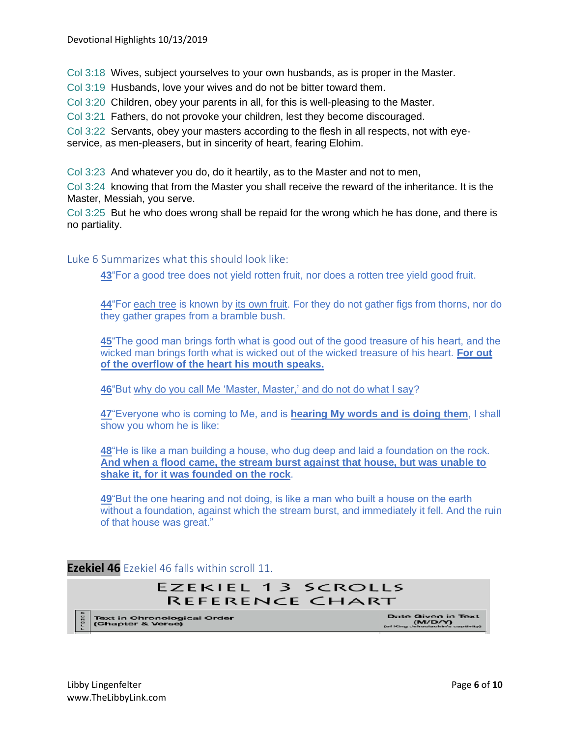Col 3:18 Wives, subject yourselves to your own husbands, as is proper in the Master.

Col 3:19 Husbands, love your wives and do not be bitter toward them.

Col 3:20 Children, obey your parents in all, for this is well-pleasing to the Master.

Col 3:21 Fathers, do not provoke your children, lest they become discouraged.

Col 3:22 Servants, obey your masters according to the flesh in all respects, not with eyeservice, as men-pleasers, but in sincerity of heart, fearing Elohim.

Col 3:23 And whatever you do, do it heartily, as to the Master and not to men,

Col 3:24 knowing that from the Master you shall receive the reward of the inheritance. It is the Master, Messiah, you serve.

Col 3:25 But he who does wrong shall be repaid for the wrong which he has done, and there is no partiality.

Luke 6 Summarizes what this should look like:

**[43](https://biblehub.com/luke/6-43.htm)**"For a good tree does not yield rotten fruit, nor does a rotten tree yield good fruit.

**[44](https://biblehub.com/luke/6-44.htm)**"For each tree is known by its own fruit. For they do not gather figs from thorns, nor do they gather grapes from a bramble bush.

**[45](https://biblehub.com/luke/6-45.htm)**"The good man brings forth what is good out of the good treasure of his heart, and the wicked man brings forth what is wicked out of the wicked treasure of his heart. **For out of the overflow of the heart his mouth speaks.**

**[46](https://biblehub.com/luke/6-46.htm)**"But why do you call Me 'Master, Master,' and do not do what I say?

**[47](https://biblehub.com/luke/6-47.htm)**"Everyone who is coming to Me, and is **hearing My words and is doing them**, I shall show you whom he is like:

**[48](https://biblehub.com/luke/6-48.htm)**"He is like a man building a house, who dug deep and laid a foundation on the rock. **And when a flood came, the stream burst against that house, but was unable to shake it, for it was founded on the rock**.

**[49](https://biblehub.com/luke/6-49.htm)**"But the one hearing and not doing, is like a man who built a house on the earth without a foundation, against which the stream burst, and immediately it fell. And the ruin of that house was great."

**Ezekiel 46** Ezekiel 46 falls within scroll 11.

# EZEKIEL 13 SCROLLS **REFERENCE CHART**

Text in Chronological Order<br>(Chapter & Verse)

Date Given in Text<br>(M/D/Y)<br>(of King Jehociachin's captivity)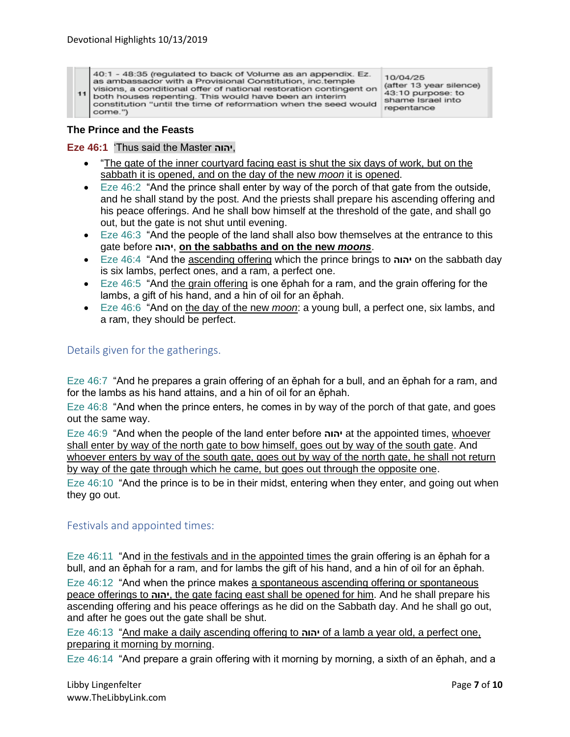40:1 - 48:35 (regulated to back of Volume as an appendix. Ez. as ambassador with a Provisional Constitution, inc.temple visions, a conditional offer of national restoration contingent on  $11$ both houses repenting. This would have been an interim constitution "until the time of reformation when the seed would come.")

10/04/25 (after 13 year silence) 43:10 purpose: to shame Israel into repentance

#### **The Prince and the Feasts**

**Eze 46:1** 'Thus said the Master **יהוה**,

- "The gate of the inner courtyard facing east is shut the six days of work, but on the sabbath it is opened, and on the day of the new *moon* it is opened.
- Eze 46:2 "And the prince shall enter by way of the porch of that gate from the outside, and he shall stand by the post. And the priests shall prepare his ascending offering and his peace offerings. And he shall bow himself at the threshold of the gate, and shall go out, but the gate is not shut until evening.
- Eze 46:3 "And the people of the land shall also bow themselves at the entrance to this gate before **יהוה**, **on the sabbaths and on the new** *moons*.
- Eze 46:4 "And the ascending offering which the prince brings to **יהוה** on the sabbath day is six lambs, perfect ones, and a ram, a perfect one.
- Eze 46:5 "And the grain offering is one ěphah for a ram, and the grain offering for the lambs, a gift of his hand, and a hin of oil for an ěphah.
- Eze 46:6 "And on the day of the new *moon*: a young bull, a perfect one, six lambs, and a ram, they should be perfect.

#### Details given for the gatherings.

Eze 46:7 "And he prepares a grain offering of an ěphah for a bull, and an ěphah for a ram, and for the lambs as his hand attains, and a hin of oil for an ěphah.

Eze 46:8 "And when the prince enters, he comes in by way of the porch of that gate, and goes out the same way.

Eze 46:9 "And when the people of the land enter before **יהוה** at the appointed times, whoever shall enter by way of the north gate to bow himself, goes out by way of the south gate. And whoever enters by way of the south gate, goes out by way of the north gate, he shall not return by way of the gate through which he came, but goes out through the opposite one.

Eze 46:10 "And the prince is to be in their midst, entering when they enter, and going out when they go out.

#### Festivals and appointed times:

Eze 46:11 "And in the festivals and in the appointed times the grain offering is an ephah for a bull, and an ěphah for a ram, and for lambs the gift of his hand, and a hin of oil for an ěphah.

Eze 46:12 "And when the prince makes a spontaneous ascending offering or spontaneous peace offerings to **יהוה**, the gate facing east shall be opened for him. And he shall prepare his ascending offering and his peace offerings as he did on the Sabbath day. And he shall go out, and after he goes out the gate shall be shut.

Eze 46:13 "And make a daily ascending offering to **יהוה** of a lamb a year old, a perfect one, preparing it morning by morning.

Eze 46:14 "And prepare a grain offering with it morning by morning, a sixth of an ěphah, and a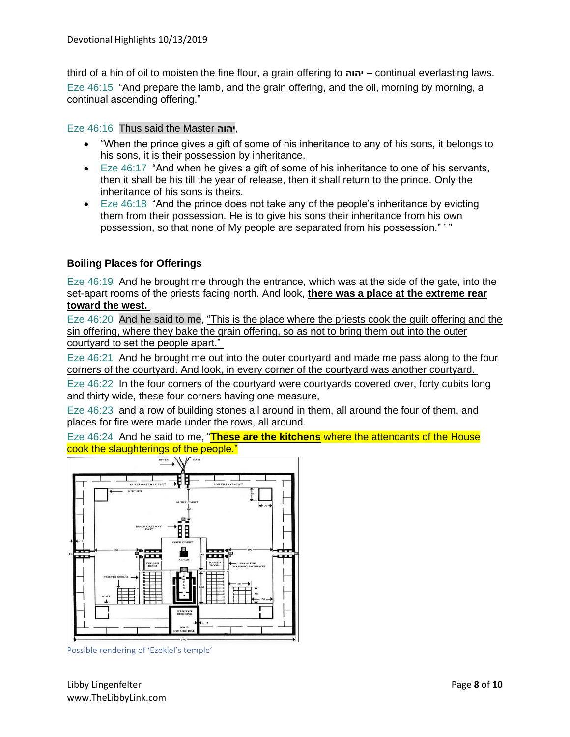third of a hin of oil to moisten the fine flour, a grain offering to **יהוה** – continual everlasting laws. Eze 46:15 "And prepare the lamb, and the grain offering, and the oil, morning by morning, a continual ascending offering."

Eze 46:16 Thus said the Master **יהוה**,

- "When the prince gives a gift of some of his inheritance to any of his sons, it belongs to his sons, it is their possession by inheritance.
- Eze 46:17 "And when he gives a gift of some of his inheritance to one of his servants, then it shall be his till the year of release, then it shall return to the prince. Only the inheritance of his sons is theirs.
- Eze 46:18 "And the prince does not take any of the people's inheritance by evicting them from their possession. He is to give his sons their inheritance from his own possession, so that none of My people are separated from his possession." ' "

## **Boiling Places for Offerings**

Eze 46:19 And he brought me through the entrance, which was at the side of the gate, into the set-apart rooms of the priests facing north. And look, **there was a place at the extreme rear toward the west.**

Eze 46:20 And he said to me, "This is the place where the priests cook the guilt offering and the sin offering, where they bake the grain offering, so as not to bring them out into the outer courtyard to set the people apart."

Eze 46:21 And he brought me out into the outer courtyard and made me pass along to the four corners of the courtyard. And look, in every corner of the courtyard was another courtyard.

Eze 46:22 In the four corners of the courtyard were courtyards covered over, forty cubits long and thirty wide, these four corners having one measure,

Eze 46:23 and a row of building stones all around in them, all around the four of them, and places for fire were made under the rows, all around.

Eze 46:24 And he said to me, "**These are the kitchens** where the attendants of the House cook the slaughterings of the people."



Possible rendering of 'Ezekiel's temple'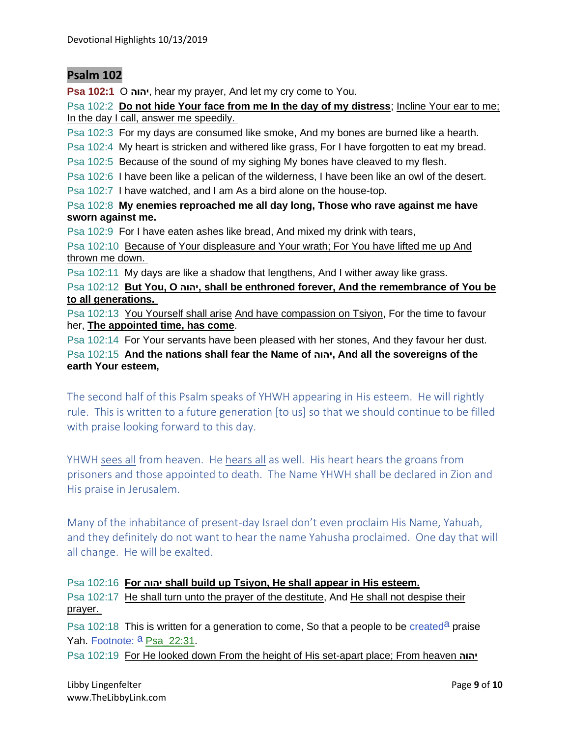# **Psalm 102**

**Psa 102:1** O **יהוה**, hear my prayer, And let my cry come to You.

Psa 102:2 **Do not hide Your face from me In the day of my distress**; Incline Your ear to me; In the day I call, answer me speedily.

Psa 102:3 For my days are consumed like smoke, And my bones are burned like a hearth.

Psa 102:4 My heart is stricken and withered like grass, For I have forgotten to eat my bread.

Psa 102:5 Because of the sound of my sighing My bones have cleaved to my flesh.

Psa 102:6 I have been like a pelican of the wilderness, I have been like an owl of the desert.

Psa 102:7 I have watched, and I am As a bird alone on the house-top.

Psa 102:8 **My enemies reproached me all day long, Those who rave against me have sworn against me.**

Psa 102:9 For I have eaten ashes like bread, And mixed my drink with tears,

Psa 102:10 Because of Your displeasure and Your wrath; For You have lifted me up And thrown me down.

Psa 102:11 My days are like a shadow that lengthens, And I wither away like grass.

Psa 102:12 **But You, O יהוה, shall be enthroned forever, And the remembrance of You be to all generations.**

Psa 102:13 You Yourself shall arise And have compassion on Tsiyon, For the time to favour her, **The appointed time, has come**.

Psa 102:14 For Your servants have been pleased with her stones, And they favour her dust. Psa 102:15 **And the nations shall fear the Name of יהוה, And all the sovereigns of the earth Your esteem,**

The second half of this Psalm speaks of YHWH appearing in His esteem. He will rightly rule. This is written to a future generation [to us] so that we should continue to be filled with praise looking forward to this day.

YHWH sees all from heaven. He hears all as well. His heart hears the groans from prisoners and those appointed to death. The Name YHWH shall be declared in Zion and His praise in Jerusalem.

Many of the inhabitance of present-day Israel don't even proclaim His Name, Yahuah, and they definitely do not want to hear the name Yahusha proclaimed. One day that will all change. He will be exalted.

### Psa 102:16 **For יהוה shall build up Tsiyon, He shall appear in His esteem.**

Psa 102:17 He shall turn unto the prayer of the destitute, And He shall not despise their prayer.

Psa 102:18 This is written for a generation to come, So that a people to be created<sup>a</sup> praise Yah. Footnote: <sup>a</sup> Psa\_22:31.

Psa 102:19 For He looked down From the height of His set-apart place; From heaven **יהוה**